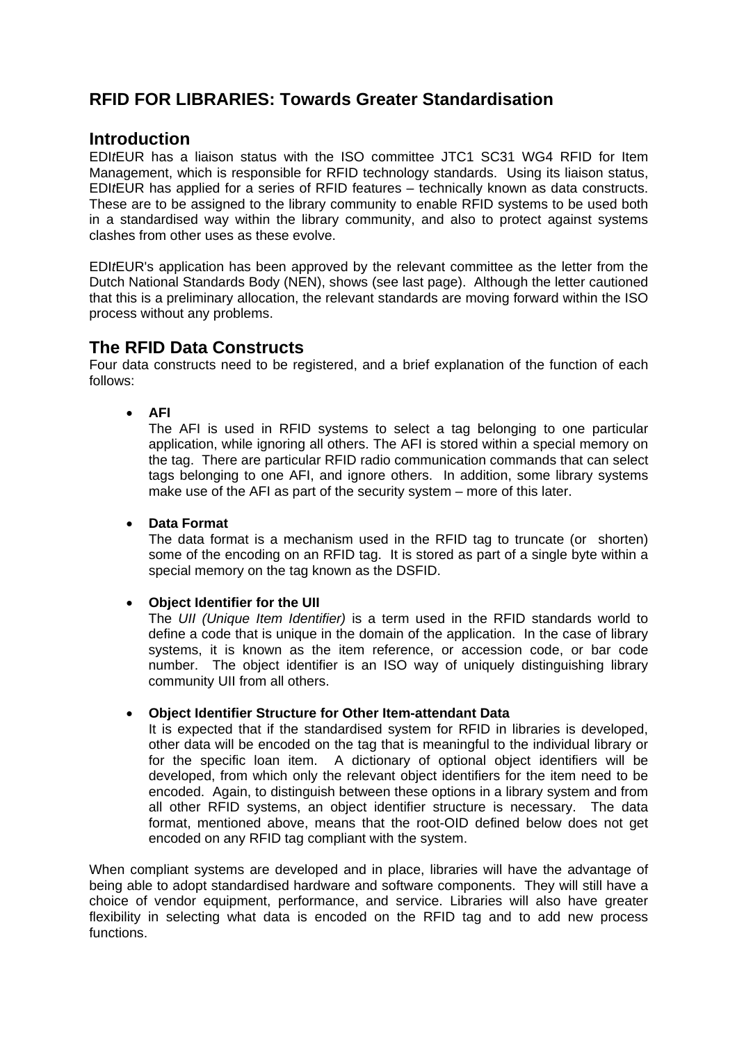# **RFID FOR LIBRARIES: Towards Greater Standardisation**

### **Introduction**

EDI*t*EUR has a liaison status with the ISO committee JTC1 SC31 WG4 RFID for Item Management, which is responsible for RFID technology standards. Using its liaison status, EDI*t*EUR has applied for a series of RFID features – technically known as data constructs. These are to be assigned to the library community to enable RFID systems to be used both in a standardised way within the library community, and also to protect against systems clashes from other uses as these evolve.

EDI*t*EUR's application has been approved by the relevant committee as the letter from the Dutch National Standards Body (NEN), shows (see last page). Although the letter cautioned that this is a preliminary allocation, the relevant standards are moving forward within the ISO process without any problems.

### **The RFID Data Constructs**

Four data constructs need to be registered, and a brief explanation of the function of each follows:

• **AFI** 

The AFI is used in RFID systems to select a tag belonging to one particular application, while ignoring all others. The AFI is stored within a special memory on the tag. There are particular RFID radio communication commands that can select tags belonging to one AFI, and ignore others. In addition, some library systems make use of the AFI as part of the security system – more of this later.

#### • **Data Format**

The data format is a mechanism used in the RFID tag to truncate (or shorten) some of the encoding on an RFID tag. It is stored as part of a single byte within a special memory on the tag known as the DSFID.

### • **Object Identifier for the UII**

The *UII (Unique Item Identifier)* is a term used in the RFID standards world to define a code that is unique in the domain of the application. In the case of library systems, it is known as the item reference, or accession code, or bar code number. The object identifier is an ISO way of uniquely distinguishing library community UII from all others.

### • **Object Identifier Structure for Other Item-attendant Data**

It is expected that if the standardised system for RFID in libraries is developed, other data will be encoded on the tag that is meaningful to the individual library or for the specific loan item. A dictionary of optional object identifiers will be developed, from which only the relevant object identifiers for the item need to be encoded. Again, to distinguish between these options in a library system and from all other RFID systems, an object identifier structure is necessary. The data format, mentioned above, means that the root-OID defined below does not get encoded on any RFID tag compliant with the system.

When compliant systems are developed and in place, libraries will have the advantage of being able to adopt standardised hardware and software components. They will still have a choice of vendor equipment, performance, and service. Libraries will also have greater flexibility in selecting what data is encoded on the RFID tag and to add new process functions.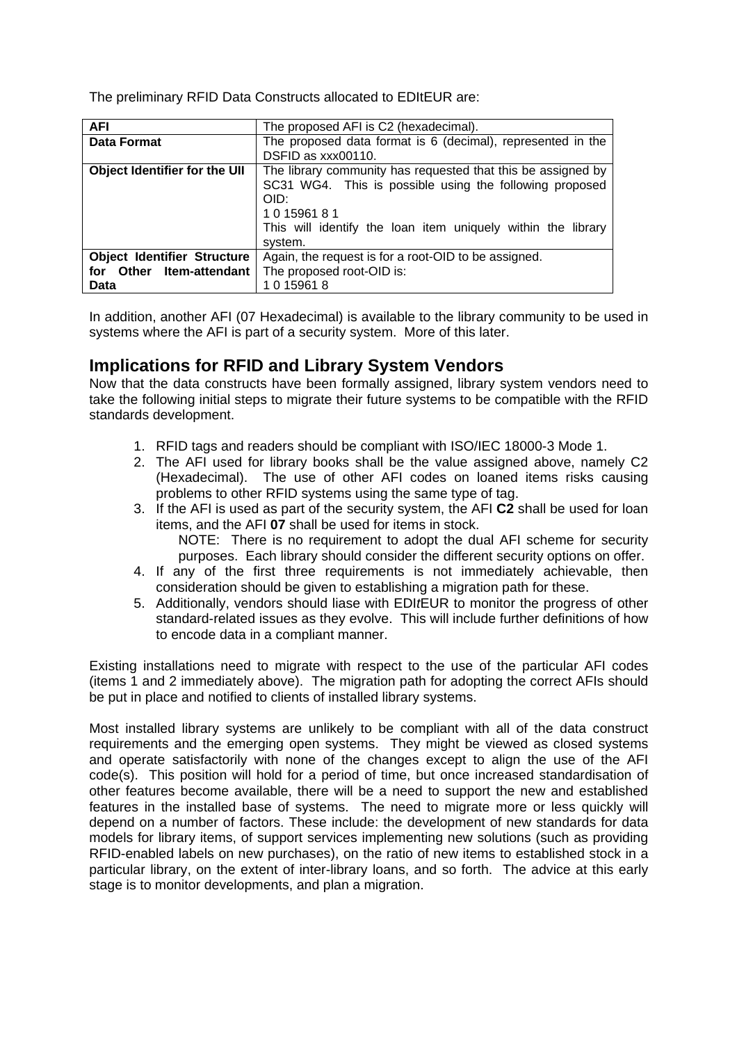The preliminary RFID Data Constructs allocated to EDItEUR are:

| <b>AFI</b>                           | The proposed AFI is C2 (hexadecimal).                        |
|--------------------------------------|--------------------------------------------------------------|
| <b>Data Format</b>                   | The proposed data format is 6 (decimal), represented in the  |
|                                      | DSFID as xxx00110.                                           |
| <b>Object Identifier for the UII</b> | The library community has requested that this be assigned by |
|                                      | SC31 WG4. This is possible using the following proposed      |
|                                      | OID:                                                         |
|                                      | 101596181                                                    |
|                                      | This will identify the loan item uniquely within the library |
|                                      | system.                                                      |
| <b>Object Identifier Structure</b>   | Again, the request is for a root-OID to be assigned.         |
| for Other Item-attendant             | The proposed root-OID is:                                    |
| Data                                 | 1 0 15961 8                                                  |

In addition, another AFI (07 Hexadecimal) is available to the library community to be used in systems where the AFI is part of a security system. More of this later.

## **Implications for RFID and Library System Vendors**

Now that the data constructs have been formally assigned, library system vendors need to take the following initial steps to migrate their future systems to be compatible with the RFID standards development.

- 1. RFID tags and readers should be compliant with ISO/IEC 18000-3 Mode 1.
- 2. The AFI used for library books shall be the value assigned above, namely C2 (Hexadecimal). The use of other AFI codes on loaned items risks causing problems to other RFID systems using the same type of tag.
- 3. If the AFI is used as part of the security system, the AFI **C2** shall be used for loan items, and the AFI **07** shall be used for items in stock. NOTE: There is no requirement to adopt the dual AFI scheme for security purposes. Each library should consider the different security options on offer.
- 4. If any of the first three requirements is not immediately achievable, then consideration should be given to establishing a migration path for these.
- 5. Additionally, vendors should liase with EDI*t*EUR to monitor the progress of other standard-related issues as they evolve. This will include further definitions of how to encode data in a compliant manner.

Existing installations need to migrate with respect to the use of the particular AFI codes (items 1 and 2 immediately above). The migration path for adopting the correct AFIs should be put in place and notified to clients of installed library systems.

Most installed library systems are unlikely to be compliant with all of the data construct requirements and the emerging open systems. They might be viewed as closed systems and operate satisfactorily with none of the changes except to align the use of the AFI code(s). This position will hold for a period of time, but once increased standardisation of other features become available, there will be a need to support the new and established features in the installed base of systems. The need to migrate more or less quickly will depend on a number of factors. These include: the development of new standards for data models for library items, of support services implementing new solutions (such as providing RFID-enabled labels on new purchases), on the ratio of new items to established stock in a particular library, on the extent of inter-library loans, and so forth. The advice at this early stage is to monitor developments, and plan a migration.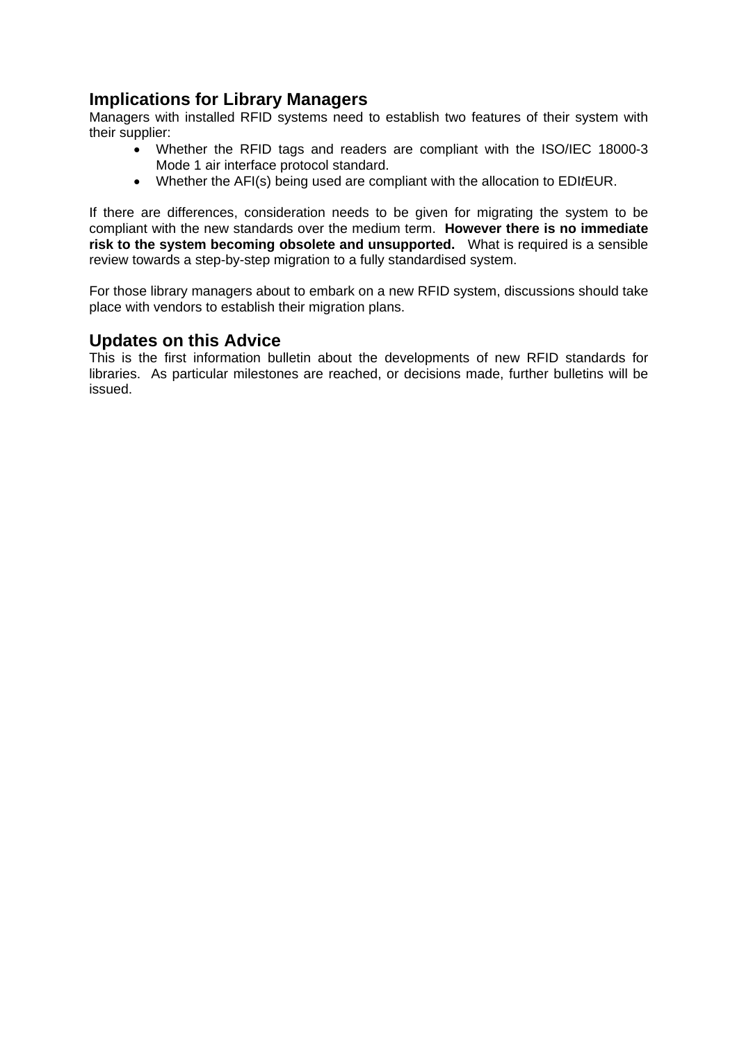## **Implications for Library Managers**

Managers with installed RFID systems need to establish two features of their system with their supplier:

- Whether the RFID tags and readers are compliant with the ISO/IEC 18000-3 Mode 1 air interface protocol standard.
- Whether the AFI(s) being used are compliant with the allocation to EDI*t*EUR.

If there are differences, consideration needs to be given for migrating the system to be compliant with the new standards over the medium term. **However there is no immediate risk to the system becoming obsolete and unsupported.** What is required is a sensible review towards a step-by-step migration to a fully standardised system.

For those library managers about to embark on a new RFID system, discussions should take place with vendors to establish their migration plans.

## **Updates on this Advice**

This is the first information bulletin about the developments of new RFID standards for libraries. As particular milestones are reached, or decisions made, further bulletins will be issued.